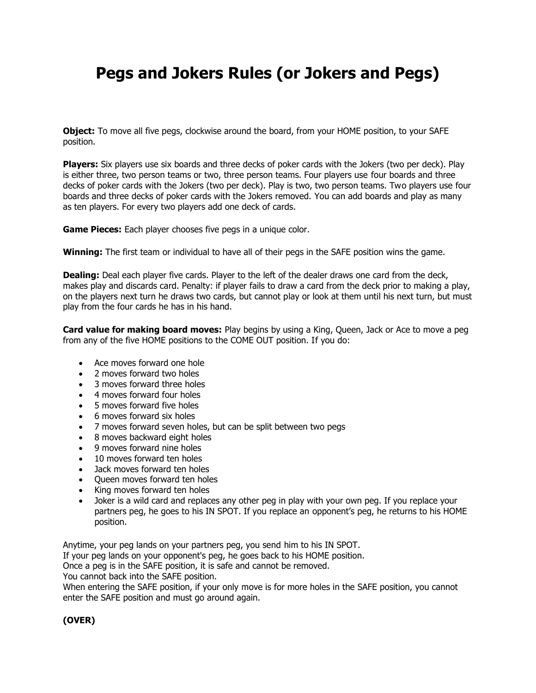## **Pegs and Jokers Rules (or Jokers and Pegs)**

**Object:** To move all five pegs, clockwise around the board, from your HOME position, to your SAFE position.

**Players:** Six players use six boards and three decks of poker cards with the Jokers (two per deck). Play is either three, two person teams or two, three person teams. Four players use four boards and three decks of poker cards with the Jokers (two per deck). Play is two, two person teams. Two players use four boards and three decks of poker cards with the Jokers removed. You can add boards and play as many as ten players. For every two players add one deck of cards.

**Game Pieces:** Each player chooses five pegs in a unique color.

**Winning:** The first team or individual to have all of their pegs in the SAFE position wins the game.

**Dealing:** Deal each player five cards. Player to the left of the dealer draws one card from the deck, makes play and discards card. Penalty: if player fails to draw a card from the deck prior to making a play, on the players next turn he draws two cards, but cannot play or look at them until his next turn, but must play from the four cards he has in his hand.

**Card value for making board moves:** Play begins by using a King, Queen, Jack or Ace to move a peg from any of the five HOME positions to the COME OUT position. If you do:

- Ace moves forward one hole
- 2 moves forward two holes
- 3 moves forward three holes
- 4 moves forward four holes
- 5 moves forward five holes
- 6 moves forward six holes
- 7 moves forward seven holes, but can be split between two pegs
- 8 moves backward eight holes
- 9 moves forward nine holes
- 10 moves forward ten holes
- Jack moves forward ten holes
- Queen moves forward ten holes
- King moves forward ten holes
- Joker is a wild card and replaces any other peg in play with your own peg. If you replace your partners peg, he goes to his IN SPOT. If you replace an opponent's peg, he returns to his HOME position.

Anytime, your peg lands on your partners peg, you send him to his IN SPOT.

If your peg lands on your opponent's peg, he goes back to his HOME position.

Once a peg is in the SAFE position, it is safe and cannot be removed.

You cannot back into the SAFE position.

When entering the SAFE position, if your only move is for more holes in the SAFE position, you cannot enter the SAFE position and must go around again.

## **(OVER)**